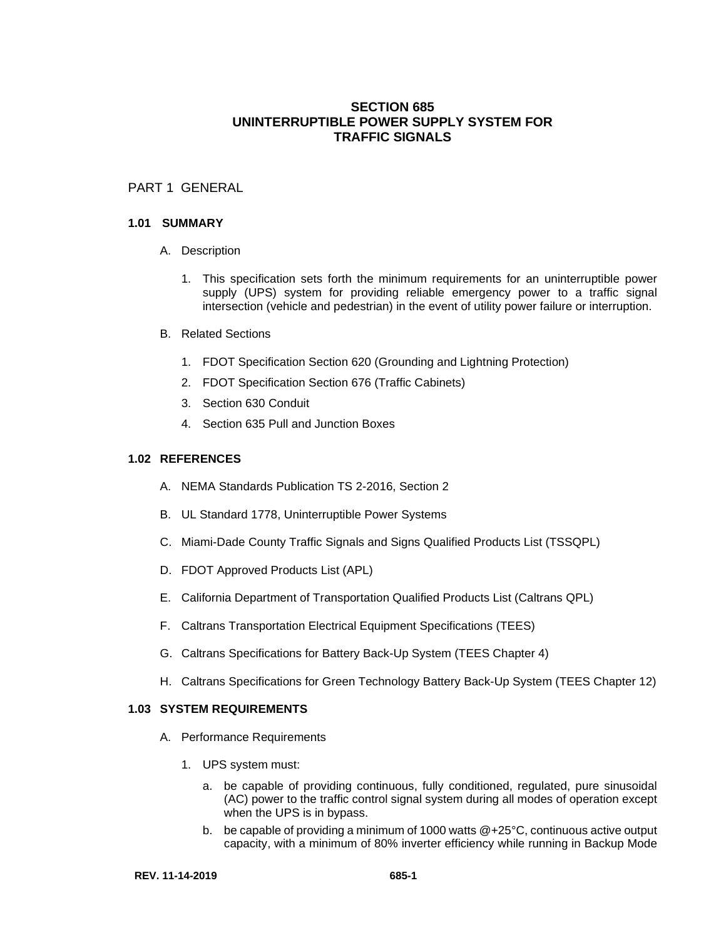# **SECTION 685 UNINTERRUPTIBLE POWER SUPPLY SYSTEM FOR TRAFFIC SIGNALS**

## PART 1 GENERAL

#### **1.01 SUMMARY**

- A. Description
	- 1. This specification sets forth the minimum requirements for an uninterruptible power supply (UPS) system for providing reliable emergency power to a traffic signal intersection (vehicle and pedestrian) in the event of utility power failure or interruption.
- B. Related Sections
	- 1. FDOT Specification Section 620 (Grounding and Lightning Protection)
	- 2. FDOT Specification Section 676 (Traffic Cabinets)
	- 3. Section 630 Conduit
	- 4. Section 635 Pull and Junction Boxes

#### **1.02 REFERENCES**

- A. NEMA Standards Publication TS 2-2016, Section 2
- B. UL Standard 1778, Uninterruptible Power Systems
- C. Miami-Dade County Traffic Signals and Signs Qualified Products List (TSSQPL)
- D. FDOT Approved Products List (APL)
- E. California Department of Transportation Qualified Products List (Caltrans QPL)
- F. Caltrans Transportation Electrical Equipment Specifications (TEES)
- G. Caltrans Specifications for Battery Back-Up System (TEES Chapter 4)
- H. Caltrans Specifications for Green Technology Battery Back-Up System (TEES Chapter 12)

#### **1.03 SYSTEM REQUIREMENTS**

- A. Performance Requirements
	- 1. UPS system must:
		- a. be capable of providing continuous, fully conditioned, regulated, pure sinusoidal (AC) power to the traffic control signal system during all modes of operation except when the UPS is in bypass.
		- b. be capable of providing a minimum of 1000 watts @+25°C, continuous active output capacity, with a minimum of 80% inverter efficiency while running in Backup Mode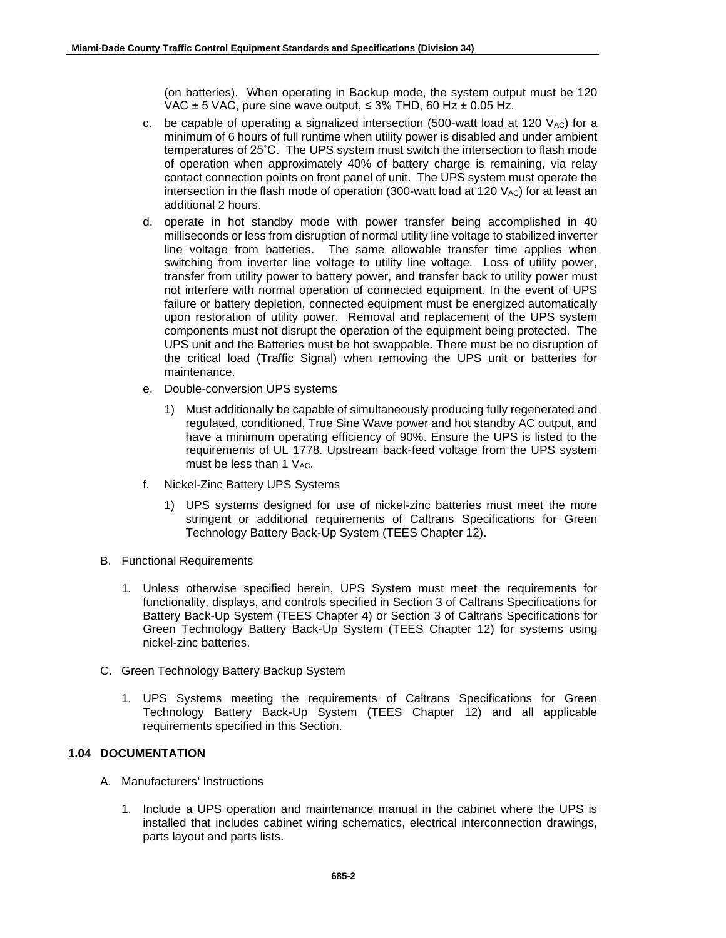(on batteries). When operating in Backup mode, the system output must be 120 VAC  $\pm$  5 VAC, pure sine wave output,  $\leq$  3% THD, 60 Hz  $\pm$  0.05 Hz.

- c. be capable of operating a signalized intersection (500-watt load at 120  $V_{AC}$ ) for a minimum of 6 hours of full runtime when utility power is disabled and under ambient temperatures of 25˚C. The UPS system must switch the intersection to flash mode of operation when approximately 40% of battery charge is remaining, via relay contact connection points on front panel of unit. The UPS system must operate the intersection in the flash mode of operation  $(300$ -watt load at  $120$   $V_{AC}$ ) for at least an additional 2 hours.
- d. operate in hot standby mode with power transfer being accomplished in 40 milliseconds or less from disruption of normal utility line voltage to stabilized inverter line voltage from batteries. The same allowable transfer time applies when switching from inverter line voltage to utility line voltage. Loss of utility power, transfer from utility power to battery power, and transfer back to utility power must not interfere with normal operation of connected equipment. In the event of UPS failure or battery depletion, connected equipment must be energized automatically upon restoration of utility power. Removal and replacement of the UPS system components must not disrupt the operation of the equipment being protected. The UPS unit and the Batteries must be hot swappable. There must be no disruption of the critical load (Traffic Signal) when removing the UPS unit or batteries for maintenance.
- e. Double-conversion UPS systems
	- 1) Must additionally be capable of simultaneously producing fully regenerated and regulated, conditioned, True Sine Wave power and hot standby AC output, and have a minimum operating efficiency of 90%. Ensure the UPS is listed to the requirements of UL 1778. Upstream back-feed voltage from the UPS system must be less than  $1$  V<sub>AC</sub>.
- f. Nickel-Zinc Battery UPS Systems
	- 1) UPS systems designed for use of nickel-zinc batteries must meet the more stringent or additional requirements of Caltrans Specifications for Green Technology Battery Back-Up System (TEES Chapter 12).
- B. Functional Requirements
	- 1. Unless otherwise specified herein, UPS System must meet the requirements for functionality, displays, and controls specified in Section 3 of Caltrans Specifications for Battery Back-Up System (TEES Chapter 4) or Section 3 of Caltrans Specifications for Green Technology Battery Back-Up System (TEES Chapter 12) for systems using nickel-zinc batteries.
- C. Green Technology Battery Backup System
	- 1. UPS Systems meeting the requirements of Caltrans Specifications for Green Technology Battery Back-Up System (TEES Chapter 12) and all applicable requirements specified in this Section.

## **1.04 DOCUMENTATION**

- A. Manufacturers' Instructions
	- 1. Include a UPS operation and maintenance manual in the cabinet where the UPS is installed that includes cabinet wiring schematics, electrical interconnection drawings, parts layout and parts lists.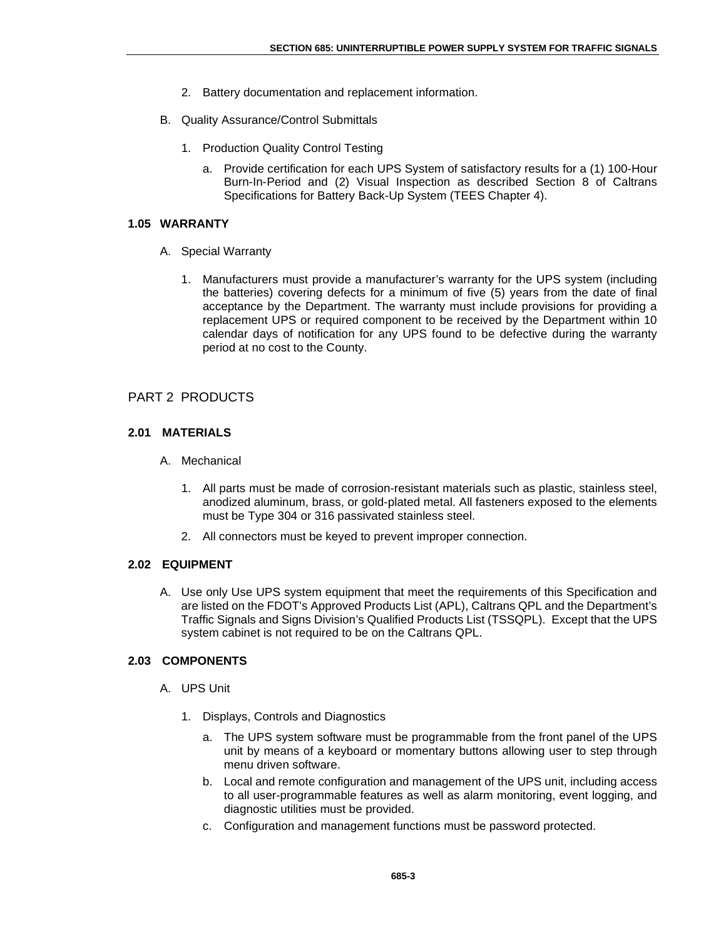- 2. Battery documentation and replacement information.
- B. Quality Assurance/Control Submittals
	- 1. Production Quality Control Testing
		- a. Provide certification for each UPS System of satisfactory results for a (1) 100-Hour Burn-In-Period and (2) Visual Inspection as described Section 8 of Caltrans Specifications for Battery Back-Up System (TEES Chapter 4).

### **1.05 WARRANTY**

- A. Special Warranty
	- 1. Manufacturers must provide a manufacturer's warranty for the UPS system (including the batteries) covering defects for a minimum of five (5) years from the date of final acceptance by the Department. The warranty must include provisions for providing a replacement UPS or required component to be received by the Department within 10 calendar days of notification for any UPS found to be defective during the warranty period at no cost to the County.

## PART 2 PRODUCTS

## **2.01 MATERIALS**

- A. Mechanical
	- 1. All parts must be made of corrosion-resistant materials such as plastic, stainless steel, anodized aluminum, brass, or gold-plated metal. All fasteners exposed to the elements must be Type 304 or 316 passivated stainless steel.
	- 2. All connectors must be keyed to prevent improper connection.

#### **2.02 EQUIPMENT**

A. Use only Use UPS system equipment that meet the requirements of this Specification and are listed on the FDOT's Approved Products List (APL), Caltrans QPL and the Department's Traffic Signals and Signs Division's Qualified Products List (TSSQPL). Except that the UPS system cabinet is not required to be on the Caltrans QPL.

## **2.03 COMPONENTS**

- A. UPS Unit
	- 1. Displays, Controls and Diagnostics
		- a. The UPS system software must be programmable from the front panel of the UPS unit by means of a keyboard or momentary buttons allowing user to step through menu driven software.
		- b. Local and remote configuration and management of the UPS unit, including access to all user-programmable features as well as alarm monitoring, event logging, and diagnostic utilities must be provided.
		- c. Configuration and management functions must be password protected.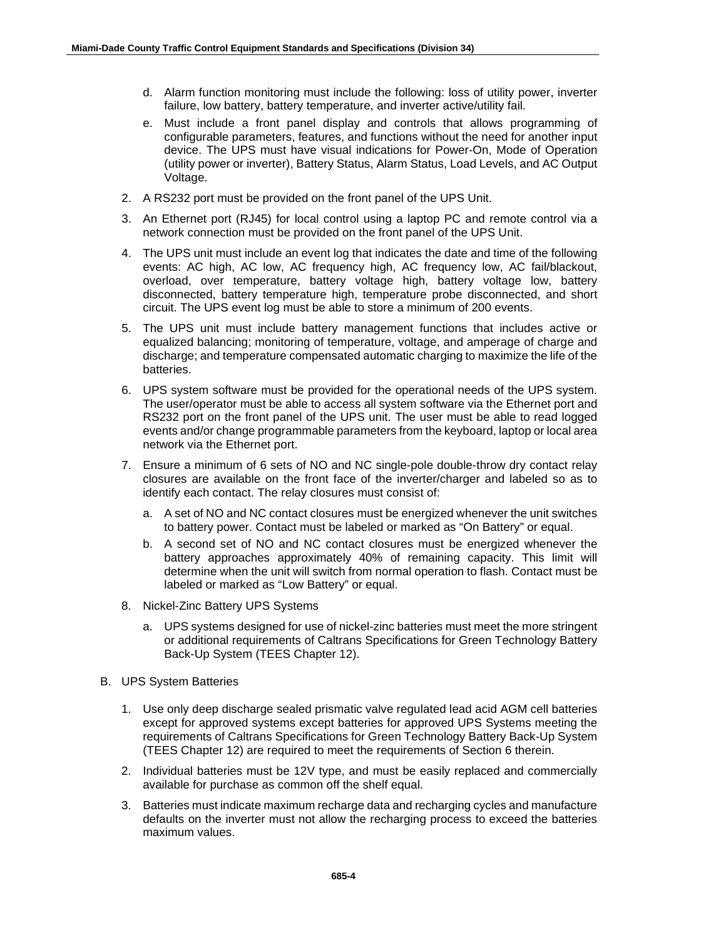- d. Alarm function monitoring must include the following: loss of utility power, inverter failure, low battery, battery temperature, and inverter active/utility fail.
- e. Must include a front panel display and controls that allows programming of configurable parameters, features, and functions without the need for another input device. The UPS must have visual indications for Power-On, Mode of Operation (utility power or inverter), Battery Status, Alarm Status, Load Levels, and AC Output Voltage.
- 2. A RS232 port must be provided on the front panel of the UPS Unit.
- 3. An Ethernet port (RJ45) for local control using a laptop PC and remote control via a network connection must be provided on the front panel of the UPS Unit.
- 4. The UPS unit must include an event log that indicates the date and time of the following events: AC high, AC low, AC frequency high, AC frequency low, AC fail/blackout, overload, over temperature, battery voltage high, battery voltage low, battery disconnected, battery temperature high, temperature probe disconnected, and short circuit. The UPS event log must be able to store a minimum of 200 events.
- 5. The UPS unit must include battery management functions that includes active or equalized balancing; monitoring of temperature, voltage, and amperage of charge and discharge; and temperature compensated automatic charging to maximize the life of the batteries.
- 6. UPS system software must be provided for the operational needs of the UPS system. The user/operator must be able to access all system software via the Ethernet port and RS232 port on the front panel of the UPS unit. The user must be able to read logged events and/or change programmable parameters from the keyboard, laptop or local area network via the Ethernet port.
- 7. Ensure a minimum of 6 sets of NO and NC single-pole double-throw dry contact relay closures are available on the front face of the inverter/charger and labeled so as to identify each contact. The relay closures must consist of:
	- a. A set of NO and NC contact closures must be energized whenever the unit switches to battery power. Contact must be labeled or marked as "On Battery" or equal.
	- b. A second set of NO and NC contact closures must be energized whenever the battery approaches approximately 40% of remaining capacity. This limit will determine when the unit will switch from normal operation to flash. Contact must be labeled or marked as "Low Battery" or equal.
- 8. Nickel-Zinc Battery UPS Systems
	- a. UPS systems designed for use of nickel-zinc batteries must meet the more stringent or additional requirements of Caltrans Specifications for Green Technology Battery Back-Up System (TEES Chapter 12).
- B. UPS System Batteries
	- 1. Use only deep discharge sealed prismatic valve regulated lead acid AGM cell batteries except for approved systems except batteries for approved UPS Systems meeting the requirements of Caltrans Specifications for Green Technology Battery Back-Up System (TEES Chapter 12) are required to meet the requirements of Section 6 therein.
	- 2. Individual batteries must be 12V type, and must be easily replaced and commercially available for purchase as common off the shelf equal.
	- 3. Batteries must indicate maximum recharge data and recharging cycles and manufacture defaults on the inverter must not allow the recharging process to exceed the batteries maximum values.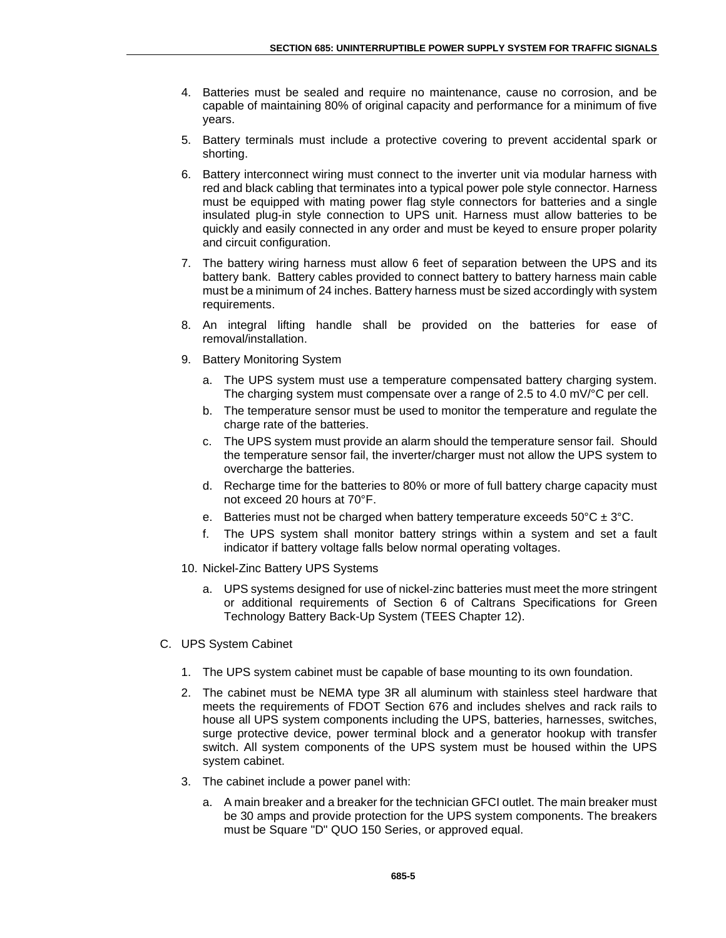- 4. Batteries must be sealed and require no maintenance, cause no corrosion, and be capable of maintaining 80% of original capacity and performance for a minimum of five years.
- 5. Battery terminals must include a protective covering to prevent accidental spark or shorting.
- 6. Battery interconnect wiring must connect to the inverter unit via modular harness with red and black cabling that terminates into a typical power pole style connector. Harness must be equipped with mating power flag style connectors for batteries and a single insulated plug-in style connection to UPS unit. Harness must allow batteries to be quickly and easily connected in any order and must be keyed to ensure proper polarity and circuit configuration.
- 7. The battery wiring harness must allow 6 feet of separation between the UPS and its battery bank. Battery cables provided to connect battery to battery harness main cable must be a minimum of 24 inches. Battery harness must be sized accordingly with system requirements.
- 8. An integral lifting handle shall be provided on the batteries for ease of removal/installation.
- 9. Battery Monitoring System
	- a. The UPS system must use a temperature compensated battery charging system. The charging system must compensate over a range of 2.5 to 4.0 mV/°C per cell.
	- b. The temperature sensor must be used to monitor the temperature and regulate the charge rate of the batteries.
	- c. The UPS system must provide an alarm should the temperature sensor fail. Should the temperature sensor fail, the inverter/charger must not allow the UPS system to overcharge the batteries.
	- d. Recharge time for the batteries to 80% or more of full battery charge capacity must not exceed 20 hours at 70°F.
	- e. Batteries must not be charged when battery temperature exceeds  $50^{\circ}$ C  $\pm$  3°C.
	- f. The UPS system shall monitor battery strings within a system and set a fault indicator if battery voltage falls below normal operating voltages.
- 10. Nickel-Zinc Battery UPS Systems
	- a. UPS systems designed for use of nickel-zinc batteries must meet the more stringent or additional requirements of Section 6 of Caltrans Specifications for Green Technology Battery Back-Up System (TEES Chapter 12).
- C. UPS System Cabinet
	- 1. The UPS system cabinet must be capable of base mounting to its own foundation.
	- 2. The cabinet must be NEMA type 3R all aluminum with stainless steel hardware that meets the requirements of FDOT Section 676 and includes shelves and rack rails to house all UPS system components including the UPS, batteries, harnesses, switches, surge protective device, power terminal block and a generator hookup with transfer switch. All system components of the UPS system must be housed within the UPS system cabinet.
	- 3. The cabinet include a power panel with:
		- a. A main breaker and a breaker for the technician GFCI outlet. The main breaker must be 30 amps and provide protection for the UPS system components. The breakers must be Square "D" QUO 150 Series, or approved equal.